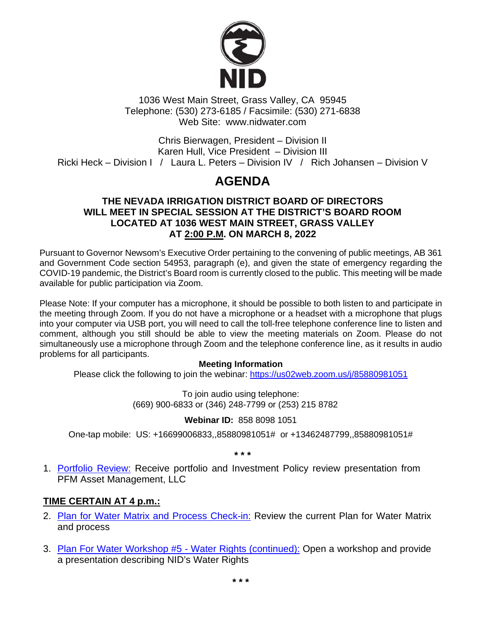

1036 West Main Street, Grass Valley, CA 95945 Telephone: (530) 273-6185 / Facsimile: (530) 271-6838 Web Site: www.nidwater.com

Chris Bierwagen, President – Division II Karen Hull, Vice President – Division III Ricki Heck – Division I / Laura L. Peters – Division IV / Rich Johansen – Division V

# **AGENDA**

### **THE NEVADA IRRIGATION DISTRICT BOARD OF DIRECTORS WILL MEET IN SPECIAL SESSION AT THE DISTRICT'S BOARD ROOM LOCATED AT 1036 WEST MAIN STREET, GRASS VALLEY AT 2:00 P.M. ON MARCH 8, 2022**

Pursuant to Governor Newsom's Executive Order pertaining to the convening of public meetings, AB 361 and Government Code section 54953, paragraph (e), and given the state of emergency regarding the COVID-19 pandemic, the District's Board room is currently closed to the public. This meeting will be made available for public participation via Zoom.

Please Note: If your computer has a microphone, it should be possible to both listen to and participate in the meeting through Zoom. If you do not have a microphone or a headset with a microphone that plugs into your computer via USB port, you will need to call the toll-free telephone conference line to listen and comment, although you still should be able to view the meeting materials on Zoom. Please do not simultaneously use a microphone through Zoom and the telephone conference line, as it results in audio problems for all participants.

#### **Meeting Information**

Please click the following to join the webinar: <https://us02web.zoom.us/j/85880981051>

To join audio using telephone: (669) 900-6833 or (346) 248-7799 or (253) 215 8782

#### **Webinar ID:** 858 8098 1051

One-tap mobile: US: +16699006833,,85880981051# or +13462487799,,85880981051#

**\* \* \***

1. [Portfolio Review:](https://www.nidwater.com/files/4b870374c/03082022_BOD_Item_1.pdf) Receive portfolio and Investment Policy review presentation from PFM Asset Management, LLC

## **TIME CERTAIN AT 4 p.m.:**

- 2. [Plan for Water Matrix and Process Check-in:](https://www.nidwater.com/files/5c70c42f1/03082022_BOD_Item_2.pdf) Review the current Plan for Water Matrix and process
- 3. [Plan For Water Workshop #5](https://www.nidwater.com/files/da1195d25/03082022_BOD_Item_3.pdf) Water Rights (continued): Open a workshop and provide a presentation describing NID's Water Rights